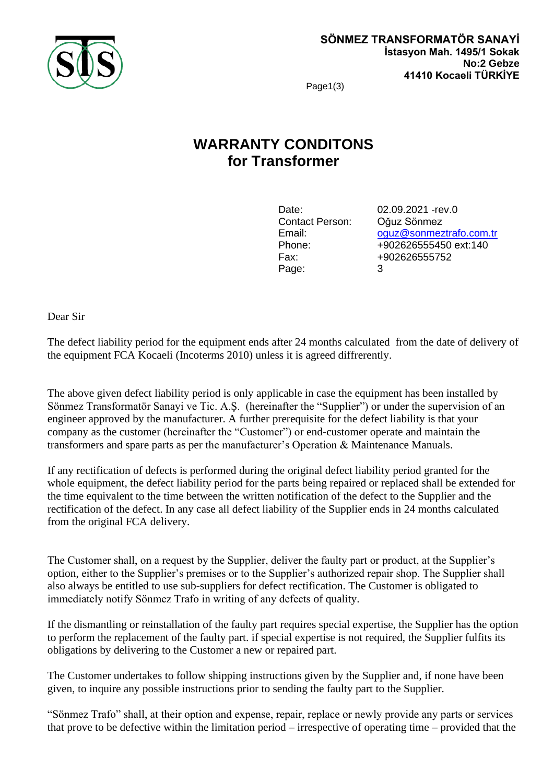

Page1(3)

# **WARRANTY CONDITONS for Transformer**

Contact Person: Oğuz Sönmez Page: 3

Date: 02.09.2021 - rev.0 Email: [oguz@sonmeztrafo.com.tr](mailto:oguz@sonmeztrafo.com.tr) Phone: +902626555450 ext:140 Fax: +902626555752

Dear Sir

The defect liability period for the equipment ends after 24 months calculated from the date of delivery of the equipment FCA Kocaeli (Incoterms 2010) unless it is agreed diffrerently.

The above given defect liability period is only applicable in case the equipment has been installed by Sönmez Transformatör Sanayi ve Tic. A.Ş. (hereinafter the "Supplier") or under the supervision of an engineer approved by the manufacturer. A further prerequisite for the defect liability is that your company as the customer (hereinafter the "Customer") or end-customer operate and maintain the transformers and spare parts as per the manufacturer's Operation & Maintenance Manuals.

If any rectification of defects is performed during the original defect liability period granted for the whole equipment, the defect liability period for the parts being repaired or replaced shall be extended for the time equivalent to the time between the written notification of the defect to the Supplier and the rectification of the defect. In any case all defect liability of the Supplier ends in 24 months calculated from the original FCA delivery.

The Customer shall, on a request by the Supplier, deliver the faulty part or product, at the Supplier's option, either to the Supplier's premises or to the Supplier's authorized repair shop. The Supplier shall also always be entitled to use sub-suppliers for defect rectification. The Customer is obligated to immediately notify Sönmez Trafo in writing of any defects of quality.

If the dismantling or reinstallation of the faulty part requires special expertise, the Supplier has the option to perform the replacement of the faulty part. if special expertise is not required, the Supplier fulfits its obligations by delivering to the Customer a new or repaired part.

The Customer undertakes to follow shipping instructions given by the Supplier and, if none have been given, to inquire any possible instructions prior to sending the faulty part to the Supplier.

"Sönmez Trafo" shall, at their option and expense, repair, replace or newly provide any parts or services that prove to be defective within the limitation period – irrespective of operating time – provided that the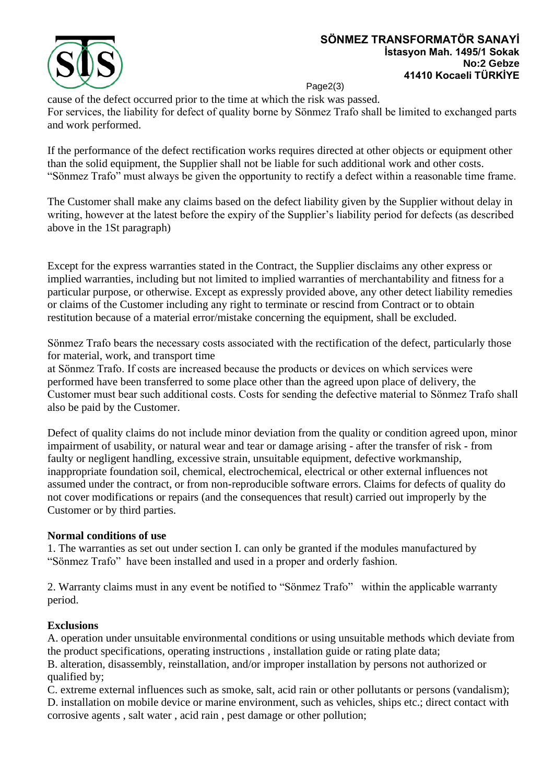

Page2(3)

cause of the defect occurred prior to the time at which the risk was passed. For services, the liability for defect of quality borne by Sönmez Trafo shall be limited to exchanged parts and work performed.

If the performance of the defect rectification works requires directed at other objects or equipment other than the solid equipment, the Supplier shall not be liable for such additional work and other costs. "Sönmez Trafo" must always be given the opportunity to rectify a defect within a reasonable time frame.

The Customer shall make any claims based on the defect liability given by the Supplier without delay in writing, however at the latest before the expiry of the Supplier's liability period for defects (as described above in the 1St paragraph)

Except for the express warranties stated in the Contract, the Supplier disclaims any other express or implied warranties, including but not limited to implied warranties of merchantability and fitness for a particular purpose, or otherwise. Except as expressly provided above, any other detect liability remedies or claims of the Customer including any right to terminate or rescind from Contract or to obtain restitution because of a material error/mistake concerning the equipment, shall be excluded.

Sönmez Trafo bears the necessary costs associated with the rectification of the defect, particularly those for material, work, and transport time

at Sönmez Trafo. If costs are increased because the products or devices on which services were performed have been transferred to some place other than the agreed upon place of delivery, the Customer must bear such additional costs. Costs for sending the defective material to Sönmez Trafo shall also be paid by the Customer.

Defect of quality claims do not include minor deviation from the quality or condition agreed upon, minor impairment of usability, or natural wear and tear or damage arising - after the transfer of risk - from faulty or negligent handling, excessive strain, unsuitable equipment, defective workmanship, inappropriate foundation soil, chemical, electrochemical, electrical or other external influences not assumed under the contract, or from non-reproducible software errors. Claims for defects of quality do not cover modifications or repairs (and the consequences that result) carried out improperly by the Customer or by third parties.

### **Normal conditions of use**

1. The warranties as set out under section I. can only be granted if the modules manufactured by "Sönmez Trafo" have been installed and used in a proper and orderly fashion.

2. Warranty claims must in any event be notified to "Sönmez Trafo" within the applicable warranty period.

### **Exclusions**

A. operation under unsuitable environmental conditions or using unsuitable methods which deviate from the product specifications, operating instructions , installation guide or rating plate data;

B. alteration, disassembly, reinstallation, and/or improper installation by persons not authorized or qualified by;

C. extreme external influences such as smoke, salt, acid rain or other pollutants or persons (vandalism); D. installation on mobile device or marine environment, such as vehicles, ships etc.; direct contact with corrosive agents , salt water , acid rain , pest damage or other pollution;